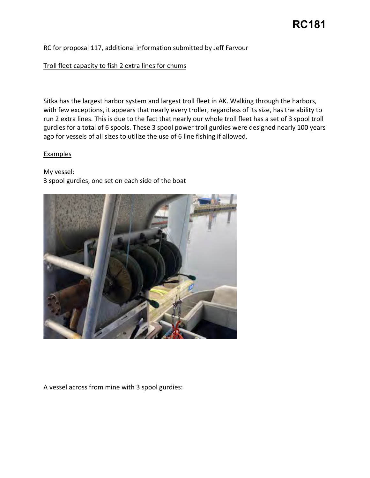## RC for proposal 117, additional information submitted by Jeff Farvour

### Troll fleet capacity to fish 2 extra lines for chums

 Sitka has the largest harbor system and largest troll fleet in AK. Walking through the harbors, with few exceptions, it appears that nearly every troller, regardless of its size, has the ability to run 2 extra lines. This is due to the fact that nearly our whole troll fleet has a set of 3 spool troll ago for vessels of all sizes to utilize the use of 6 line fishing if allowed. gurdies for a total of 6 spools. These 3 spool power troll gurdies were designed nearly 100 years

#### **Examples**

My vessel: 3 spool gurdies, one set on each side of the boat



A vessel across from mine with 3 spool gurdies: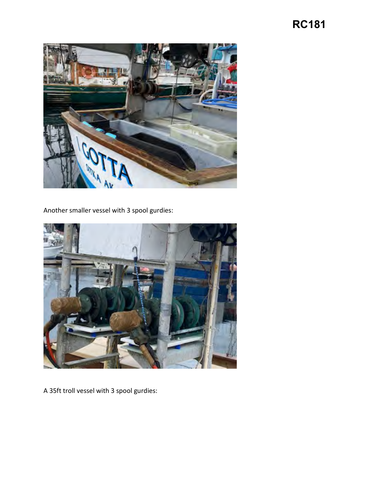## **RC181**



Another smaller vessel with 3 spool gurdies:



A 35ft troll vessel with 3 spool gurdies: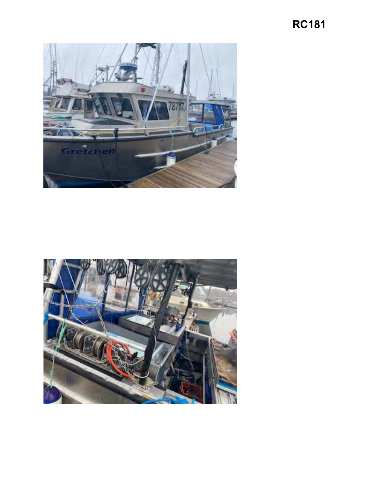# **RC181**